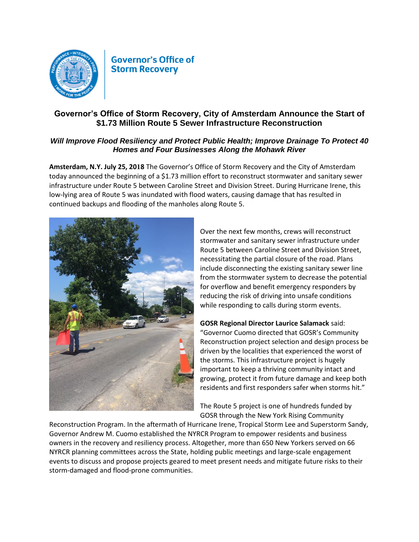

## **Governor's Office of Storm Recovery**

## **Governor's Office of Storm Recovery, City of Amsterdam Announce the Start of \$1.73 Million Route 5 Sewer Infrastructure Reconstruction**

## *Will Improve Flood Resiliency and Protect Public Health; Improve Drainage To Protect 40 Homes and Four Businesses Along the Mohawk River*

**Amsterdam, N.Y. July 25, 2018** The Governor's Office of Storm Recovery and the City of Amsterdam today announced the beginning of a \$1.73 million effort to reconstruct stormwater and sanitary sewer infrastructure under Route 5 between Caroline Street and Division Street. During Hurricane Irene, this low-lying area of Route 5 was inundated with flood waters, causing damage that has resulted in continued backups and flooding of the manholes along Route 5.



Over the next few months, crews will reconstruct stormwater and sanitary sewer infrastructure under Route 5 between Caroline Street and Division Street, necessitating the partial closure of the road. Plans include disconnecting the existing sanitary sewer line from the stormwater system to decrease the potential for overflow and benefit emergency responders by reducing the risk of driving into unsafe conditions while responding to calls during storm events.

**GOSR Regional Director Laurice Salamack** said: "Governor Cuomo directed that GOSR's Community Reconstruction project selection and design process be driven by the localities that experienced the worst of the storms. This infrastructure project is hugely important to keep a thriving community intact and growing, protect it from future damage and keep both residents and first responders safer when storms hit."

The Route 5 project is one of hundreds funded by GOSR through the New York Rising Community

Reconstruction Program. In the aftermath of Hurricane Irene, Tropical Storm Lee and Superstorm Sandy, Governor Andrew M. Cuomo established the NYRCR Program to empower residents and business owners in the recovery and resiliency process. Altogether, more than 650 New Yorkers served on 66 NYRCR planning committees across the State, holding public meetings and large-scale engagement events to discuss and propose projects geared to meet present needs and mitigate future risks to their storm-damaged and flood-prone communities.